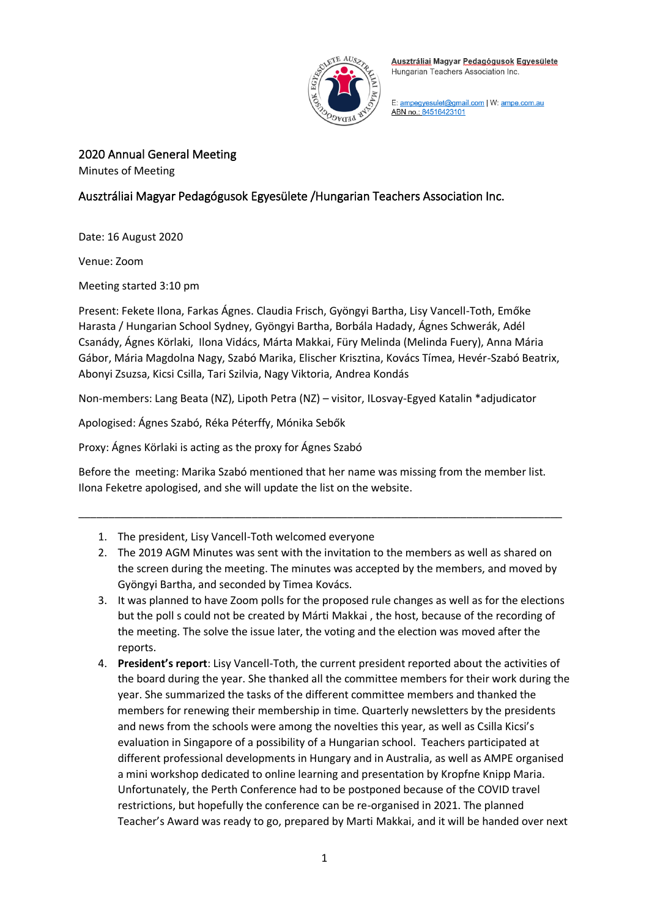

E: ampegyesulet@gmail.com | W: ampe.com.au ABN no.: 84516423101

2020 Annual General Meeting

Minutes of Meeting

# Ausztráliai Magyar Pedagógusok Egyesülete /Hungarian Teachers Association Inc.

Date: 16 August 2020

Venue: Zoom

Meeting started 3:10 pm

Present: Fekete Ilona, Farkas Ágnes. Claudia Frisch, Gyöngyi Bartha, Lisy Vancell-Toth, Emőke Harasta / Hungarian School Sydney, Gyöngyi Bartha, Borbála Hadady, Ágnes Schwerák, Adél Csanády, Ágnes Körlaki, Ilona Vidács, Márta Makkai, Füry Melinda (Melinda Fuery), Anna Mária Gábor, Mária Magdolna Nagy, Szabó Marika, Elischer Krisztina, Kovács Tímea, Hevér-Szabó Beatrix, Abonyi Zsuzsa, Kicsi Csilla, Tari Szilvia, Nagy Viktoria, Andrea Kondás

Non-members: Lang Beata (NZ), Lipoth Petra (NZ) – visitor, ILosvay-Egyed Katalin \*adjudicator

Apologised: Ágnes Szabó, Réka Péterffy, Mónika Sebők

Proxy: Ágnes Körlaki is acting as the proxy for Ágnes Szabó

Before the meeting: Marika Szabó mentioned that her name was missing from the member list. Ilona Feketre apologised, and she will update the list on the website.

\_\_\_\_\_\_\_\_\_\_\_\_\_\_\_\_\_\_\_\_\_\_\_\_\_\_\_\_\_\_\_\_\_\_\_\_\_\_\_\_\_\_\_\_\_\_\_\_\_\_\_\_\_\_\_\_\_\_\_\_\_\_\_\_\_\_\_\_\_\_\_\_\_\_\_\_\_\_\_\_\_

- 1. The president, Lisy Vancell-Toth welcomed everyone
- 2. The 2019 AGM Minutes was sent with the invitation to the members as well as shared on the screen during the meeting. The minutes was accepted by the members, and moved by Gyöngyi Bartha, and seconded by Timea Kovács.
- 3. It was planned to have Zoom polls for the proposed rule changes as well as for the elections but the poll s could not be created by Márti Makkai , the host, because of the recording of the meeting. The solve the issue later, the voting and the election was moved after the reports.
- 4. **President's report**: Lisy Vancell-Toth, the current president reported about the activities of the board during the year. She thanked all the committee members for their work during the year. She summarized the tasks of the different committee members and thanked the members for renewing their membership in time. Quarterly newsletters by the presidents and news from the schools were among the novelties this year, as well as Csilla Kicsi's evaluation in Singapore of a possibility of a Hungarian school. Teachers participated at different professional developments in Hungary and in Australia, as well as AMPE organised a mini workshop dedicated to online learning and presentation by Kropfne Knipp Maria. Unfortunately, the Perth Conference had to be postponed because of the COVID travel restrictions, but hopefully the conference can be re-organised in 2021. The planned Teacher's Award was ready to go, prepared by Marti Makkai, and it will be handed over next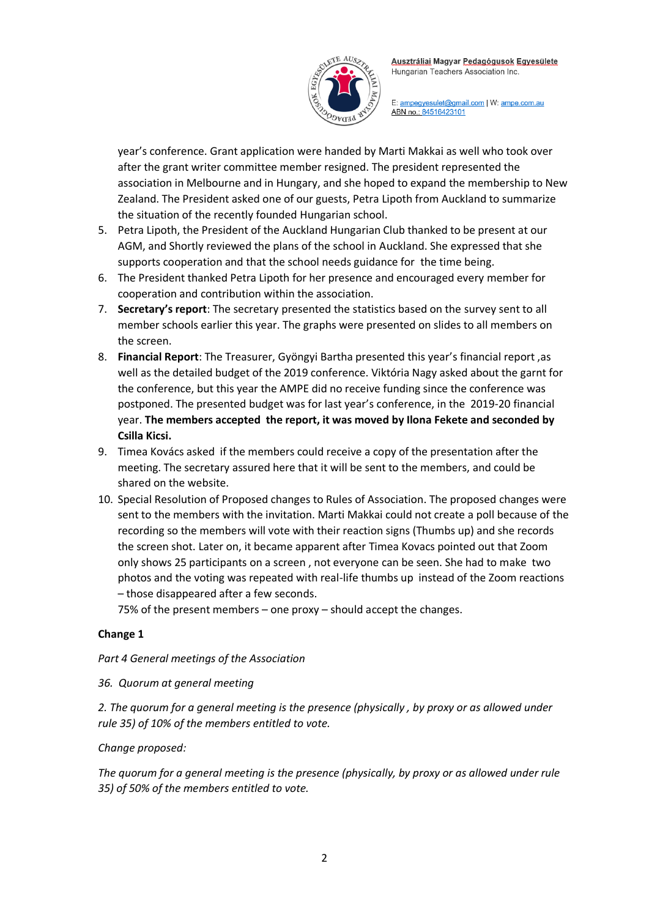

E: ampegyesulet@gmail.com | W: ampe.com.au ABN no.: 84516423101

year's conference. Grant application were handed by Marti Makkai as well who took over after the grant writer committee member resigned. The president represented the association in Melbourne and in Hungary, and she hoped to expand the membership to New Zealand. The President asked one of our guests, Petra Lipoth from Auckland to summarize the situation of the recently founded Hungarian school.

- 5. Petra Lipoth, the President of the Auckland Hungarian Club thanked to be present at our AGM, and Shortly reviewed the plans of the school in Auckland. She expressed that she supports cooperation and that the school needs guidance for the time being.
- 6. The President thanked Petra Lipoth for her presence and encouraged every member for cooperation and contribution within the association.
- 7. **Secretary's report**: The secretary presented the statistics based on the survey sent to all member schools earlier this year. The graphs were presented on slides to all members on the screen.
- 8. **Financial Report**: The Treasurer, Gyöngyi Bartha presented this year's financial report ,as well as the detailed budget of the 2019 conference. Viktória Nagy asked about the garnt for the conference, but this year the AMPE did no receive funding since the conference was postponed. The presented budget was for last year's conference, in the 2019-20 financial year. **The members accepted the report, it was moved by Ilona Fekete and seconded by Csilla Kicsi.**
- 9. Timea Kovács asked if the members could receive a copy of the presentation after the meeting. The secretary assured here that it will be sent to the members, and could be shared on the website.
- 10. Special Resolution of Proposed changes to Rules of Association. The proposed changes were sent to the members with the invitation. Marti Makkai could not create a poll because of the recording so the members will vote with their reaction signs (Thumbs up) and she records the screen shot. Later on, it became apparent after Timea Kovacs pointed out that Zoom only shows 25 participants on a screen , not everyone can be seen. She had to make two photos and the voting was repeated with real-life thumbs up instead of the Zoom reactions – those disappeared after a few seconds.

75% of the present members – one proxy – should accept the changes.

## **Change 1**

## *Part 4 General meetings of the Association*

## *36. Quorum at general meeting*

*2. The quorum for a general meeting is the presence (physically , by proxy or as allowed under rule 35) of 10% of the members entitled to vote.*

## *Change proposed:*

*The quorum for a general meeting is the presence (physically, by proxy or as allowed under rule 35) of 50% of the members entitled to vote.*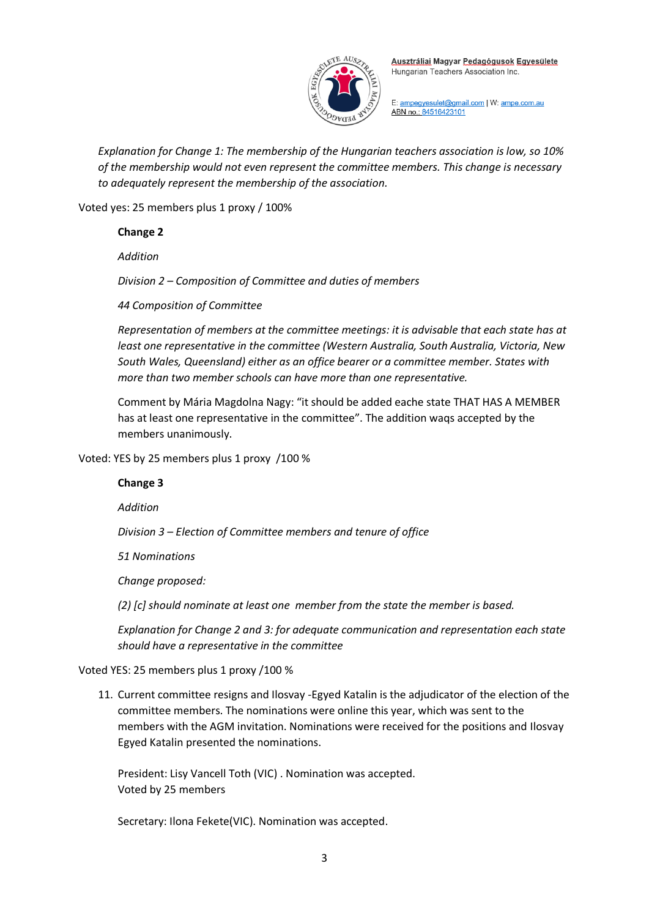

E: ampegyesulet@gmail.com | W: ampe.com.au ABN no.: 84516423101

*Explanation for Change 1: The membership of the Hungarian teachers association is low, so 10% of the membership would not even represent the committee members. This change is necessary to adequately represent the membership of the association.* 

Voted yes: 25 members plus 1 proxy / 100%

#### **Change 2**

*Addition*

*Division 2 – Composition of Committee and duties of members*

*44 Composition of Committee*

*Representation of members at the committee meetings: it is advisable that each state has at least one representative in the committee (Western Australia, South Australia, Victoria, New South Wales, Queensland) either as an office bearer or a committee member. States with more than two member schools can have more than one representative.*

Comment by Mária Magdolna Nagy: "it should be added eache state THAT HAS A MEMBER has at least one representative in the committee". The addition waqs accepted by the members unanimously.

Voted: YES by 25 members plus 1 proxy /100 %

## **Change 3**

*Addition*

*Division 3 – Election of Committee members and tenure of office*

*51 Nominations*

*Change proposed:*

*(2) [c] should nominate at least one member from the state the member is based.* 

*Explanation for Change 2 and 3: for adequate communication and representation each state should have a representative in the committee*

#### Voted YES: 25 members plus 1 proxy /100 %

11. Current committee resigns and Ilosvay -Egyed Katalin is the adjudicator of the election of the committee members. The nominations were online this year, which was sent to the members with the AGM invitation. Nominations were received for the positions and Ilosvay Egyed Katalin presented the nominations.

President: Lisy Vancell Toth (VIC) . Nomination was accepted. Voted by 25 members

Secretary: Ilona Fekete(VIC). Nomination was accepted.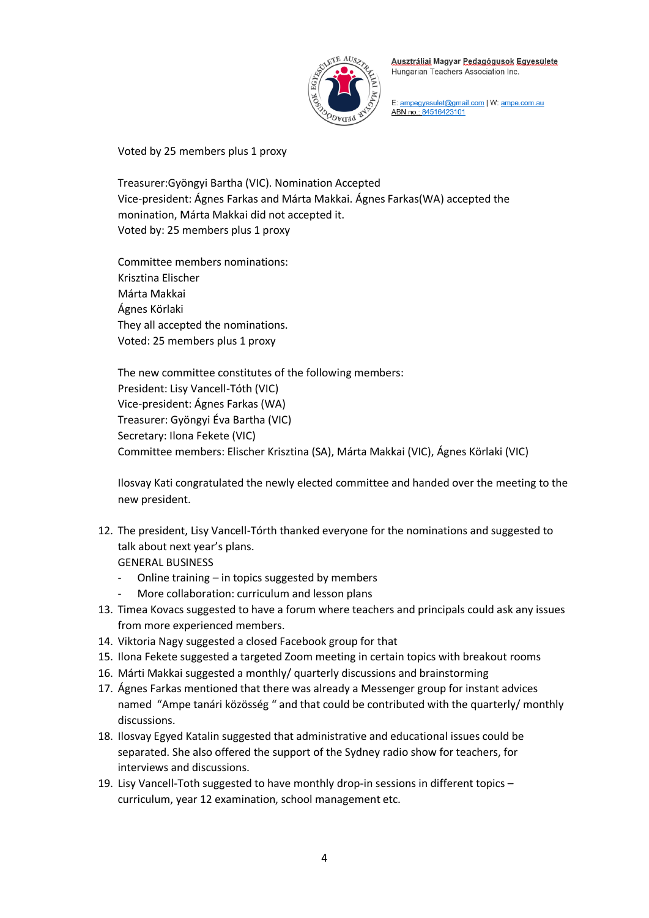

E: ampegyesulet@gmail.com | W: ampe.com.au ABN no.: 84516423101

Voted by 25 members plus 1 proxy

Treasurer:Gyöngyi Bartha (VIC). Nomination Accepted Vice-president: Ágnes Farkas and Márta Makkai. Ágnes Farkas(WA) accepted the monination, Márta Makkai did not accepted it. Voted by: 25 members plus 1 proxy

Committee members nominations: Krisztina Elischer Márta Makkai Ágnes Körlaki They all accepted the nominations. Voted: 25 members plus 1 proxy

The new committee constitutes of the following members: President: Lisy Vancell-Tóth (VIC) Vice-president: Ágnes Farkas (WA) Treasurer: Gyöngyi Éva Bartha (VIC) Secretary: Ilona Fekete (VIC) Committee members: Elischer Krisztina (SA), Márta Makkai (VIC), Ágnes Körlaki (VIC)

Ilosvay Kati congratulated the newly elected committee and handed over the meeting to the new president.

- 12. The president, Lisy Vancell-Tórth thanked everyone for the nominations and suggested to talk about next year's plans. GENERAL BUSINESS
	- Online training  $-$  in topics suggested by members
	- More collaboration: curriculum and lesson plans
- 13. Timea Kovacs suggested to have a forum where teachers and principals could ask any issues from more experienced members.
- 14. Viktoria Nagy suggested a closed Facebook group for that
- 15. Ilona Fekete suggested a targeted Zoom meeting in certain topics with breakout rooms
- 16. Márti Makkai suggested a monthly/ quarterly discussions and brainstorming
- 17. Ágnes Farkas mentioned that there was already a Messenger group for instant advices named "Ampe tanári közösség " and that could be contributed with the quarterly/ monthly discussions.
- 18. Ilosvay Egyed Katalin suggested that administrative and educational issues could be separated. She also offered the support of the Sydney radio show for teachers, for interviews and discussions.
- 19. Lisy Vancell-Toth suggested to have monthly drop-in sessions in different topics curriculum, year 12 examination, school management etc.